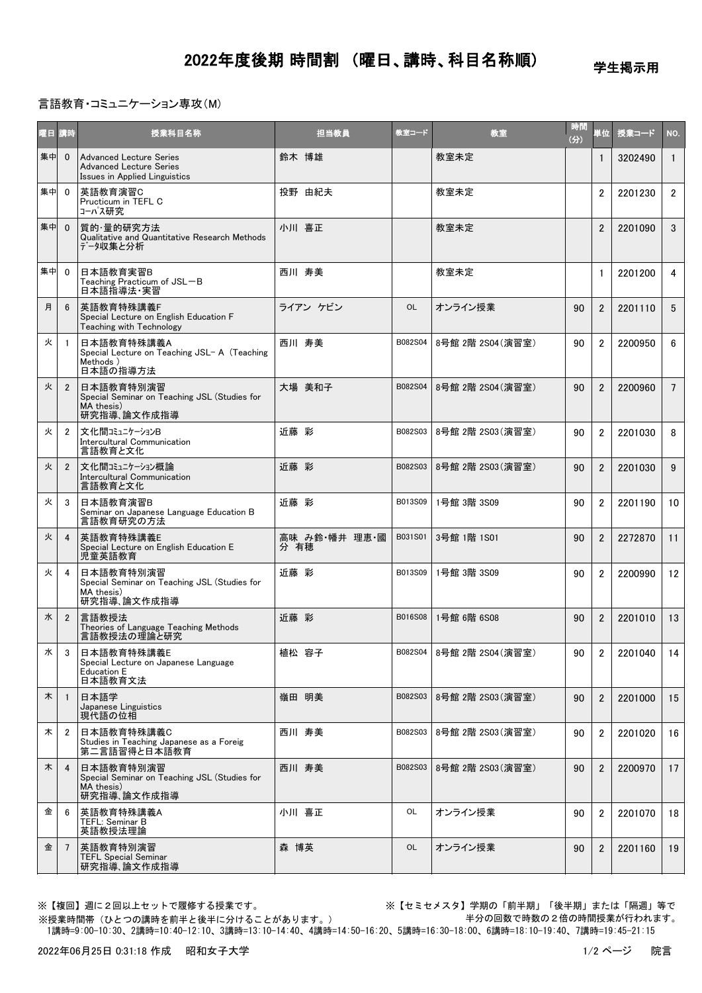学生掲示用

## 言語教育・コミュニケーション専攻(M)

| 曜日 | 請時             | 授業科目名称                                                                                            | 担当教員                  | 教室コード          | 教室                | 時間<br>(分) | 単位             | 授業コード   | NO.             |
|----|----------------|---------------------------------------------------------------------------------------------------|-----------------------|----------------|-------------------|-----------|----------------|---------|-----------------|
| 集中 | $\mathbf{0}$   | <b>Advanced Lecture Series</b><br><b>Advanced Lecture Series</b><br>Issues in Applied Linguistics | 鈴木 博雄                 |                | 教室未定              |           | $\mathbf{1}$   | 3202490 | $\mathbf{1}$    |
| 集中 | $\overline{0}$ | 英語教育演習C<br>Pructicum in TEFL C<br>コーパス研究                                                          | 投野 由紀夫                |                | 教室未定              |           | $\overline{2}$ | 2201230 | $\mathbf{2}$    |
| 集中 | $\mathbf{0}$   | 質的·量的研究方法<br>Qualitative and Quantitative Research Methods<br>データ収集と分析                            | 小川 喜正                 |                | 教室未定              |           | $\overline{2}$ | 2201090 | 3               |
| 集中 | $\Omega$       | 日本語教育実習B<br>Teaching Practicum of JSL-B<br>日本語指導法・実習                                              | 西川 寿美                 |                | 教室未定              |           | 1              | 2201200 | 4               |
| 月  | 6              | 英語教育特殊講義F<br>Special Lecture on English Education F<br>Teaching with Technology                   | ライアン ケビン              | <b>OL</b>      | オンライン授業           | 90        | $\overline{2}$ | 2201110 | 5               |
| 火  | -1             | 日本語教育特殊講義A<br>Special Lecture on Teaching JSL- A (Teaching<br>Methods)<br>日本語の指導方法                | 西川 寿美                 | B082S04        | 8号館 2階 2S04 (演習室) | 90        | $\overline{2}$ | 2200950 | 6               |
| 火  | $\overline{2}$ | 日本語教育特別演習<br>Special Seminar on Teaching JSL (Studies for<br>MA thesis)<br>研究指導、論文作成指導            | 大場 美和子                | B082S04        | 8号館 2階 2S04 (演習室) | 90        | $\overline{2}$ | 2200960 | $7\overline{ }$ |
| 火  | $\overline{2}$ | 文化間コミュニケーションB<br>Intercultural Communication<br>言語教育と文化                                           | 近藤 彩                  | B082S03        | 8号館 2階 2S03(演習室)  | 90        | $\overline{2}$ | 2201030 | 8               |
| 火  | $\overline{2}$ | 文化間コミュニケーション概論<br>Intercultural Communication<br>言語教育と文化                                          | 近藤 彩                  | B082S03        | 8号館 2階 2S03(演習室)  | 90        | $\overline{2}$ | 2201030 | 9               |
| 火  | 3              | 日本語教育演習B<br>Seminar on Japanese Language Education B<br>言語教育研究の方法                                 | 近藤 彩                  | B013S09        | 1号館 3階 3S09       | 90        | $\overline{2}$ | 2201190 | 10              |
| 火  | 4              | 英語教育特殊講義E<br>Special Lecture on English Education E<br>児童英語教育                                     | 高味 み鈴・幡井 理恵・國<br>分 有穂 | B031S01        | 3号館 1階 1S01       | 90        | $\overline{2}$ | 2272870 | 11              |
| 火  | 4              | 日本語教育特別演習<br>Special Seminar on Teaching JSL (Studies for<br>MA thesis)<br>研究指導、論文作成指導            | 近藤 彩                  | B013S09        | 1号館 3階 3S09       | 90        | $\overline{2}$ | 2200990 | 12              |
| 水  | $\overline{2}$ | 言語教授法<br>Theories of Language Teaching Methods<br>言語教授法の理論と研究                                     | 近藤 彩                  | <b>B016S08</b> | 1号館 6階 6S08       | 90        | $\overline{2}$ | 2201010 | 13              |
| 水  | 3              | 日本語教育特殊講義E<br>Special Lecture on Japanese Language<br><b>Education E</b><br>日本語教育文法               | 植松 容子                 | B082S04        | 8号館 2階 2S04 (演習室) | 90        | 2              | 2201040 | 14              |
| 木  | $\mathbf{1}$   | 日本語学<br>Japanese Linguistics<br>現代語の位相                                                            | 嶺田 明美                 | B082S03        | 8号館 2階 2S03 (演習室) | 90        | $\overline{2}$ | 2201000 | 15              |
| 木  | $\overline{2}$ | 日本語教育特殊講義C<br>Studies in Teaching Japanese as a Foreig<br>第二言語習得と日本語教育                            | 西川 寿美                 | B082S03        | 8号館 2階 2S03 (演習室) | 90        | $\overline{2}$ | 2201020 | 16              |
| 木  | 4              | 日本語教育特別演習<br>Special Seminar on Teaching JSL (Studies for<br>MA thesis)<br>研究指導、論文作成指導            | 西川 寿美                 | B082S03        | 8号館 2階 2S03(演習室)  | 90        | $\overline{2}$ | 2200970 | 17              |
| 金  | 6              | 英語教育特殊講義A<br>TEFL: Seminar B<br>英語教授法理論                                                           | 小川 喜正                 | OL             | オンライン授業           | 90        | $\overline{2}$ | 2201070 | 18              |
| 金  | $\overline{7}$ | 英語教育特別演習<br><b>TEFL Special Seminar</b><br>研究指導、論文作成指導                                            | 森 博英                  | <b>OL</b>      | オンライン授業           | 90        | $\overline{2}$ | 2201160 | 19              |

※【複回】週に2回以上セットで履修する授業です。 ※【セミセメスタ】学期の「前半期」「後半期」または「隔週」等で 半分の回数で時数の2倍の時間授業が行われます。

 1講時=9:00-10:30、2講時=10:40-12:10、3講時=13:10-14:40、4講時=14:50-16:20、5講時=16:30-18:00、6講時=18:10-19:40、7講時=19:45-21:15 ※授業時間帯(ひとつの講時を前半と後半に分けることがあります。)